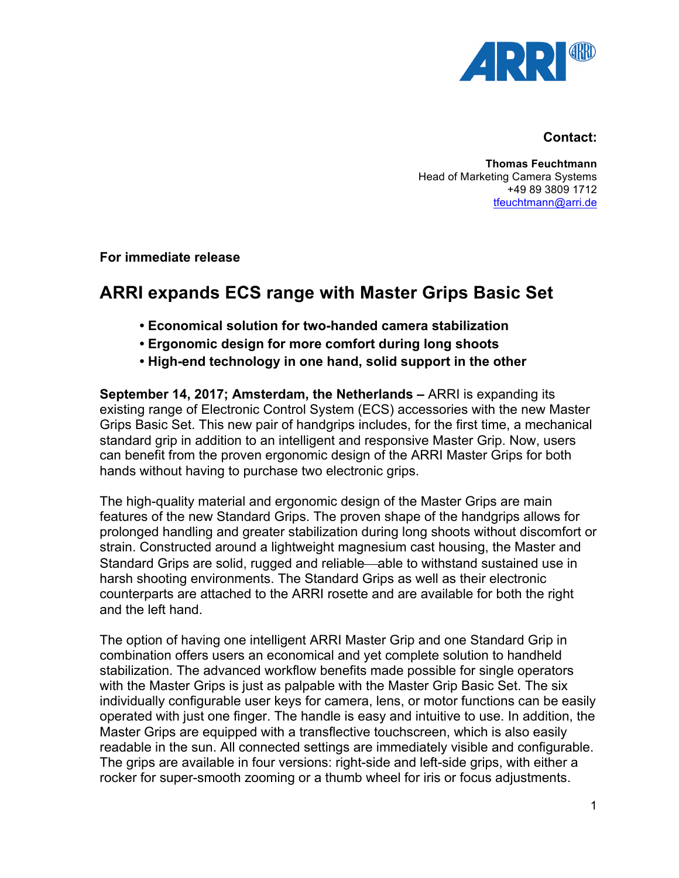

## **Contact:**

**Thomas Feuchtmann** Head of Marketing Camera Systems +49 89 3809 1712 tfeuchtmann@arri.de

**For immediate release** 

## **ARRI expands ECS range with Master Grips Basic Set**

- **• Economical solution for two-handed camera stabilization**
- **• Ergonomic design for more comfort during long shoots**
- **• High-end technology in one hand, solid support in the other**

**September 14, 2017; Amsterdam, the Netherlands –** ARRI is expanding its existing range of Electronic Control System (ECS) accessories with the new Master Grips Basic Set. This new pair of handgrips includes, for the first time, a mechanical standard grip in addition to an intelligent and responsive Master Grip. Now, users can benefit from the proven ergonomic design of the ARRI Master Grips for both hands without having to purchase two electronic grips.

The high-quality material and ergonomic design of the Master Grips are main features of the new Standard Grips. The proven shape of the handgrips allows for prolonged handling and greater stabilization during long shoots without discomfort or strain. Constructed around a lightweight magnesium cast housing, the Master and Standard Grips are solid, rugged and reliable—able to withstand sustained use in harsh shooting environments. The Standard Grips as well as their electronic counterparts are attached to the ARRI rosette and are available for both the right and the left hand.

The option of having one intelligent ARRI Master Grip and one Standard Grip in combination offers users an economical and yet complete solution to handheld stabilization. The advanced workflow benefits made possible for single operators with the Master Grips is just as palpable with the Master Grip Basic Set. The six individually configurable user keys for camera, lens, or motor functions can be easily operated with just one finger. The handle is easy and intuitive to use. In addition, the Master Grips are equipped with a transflective touchscreen, which is also easily readable in the sun. All connected settings are immediately visible and configurable. The grips are available in four versions: right-side and left-side grips, with either a rocker for super-smooth zooming or a thumb wheel for iris or focus adjustments.